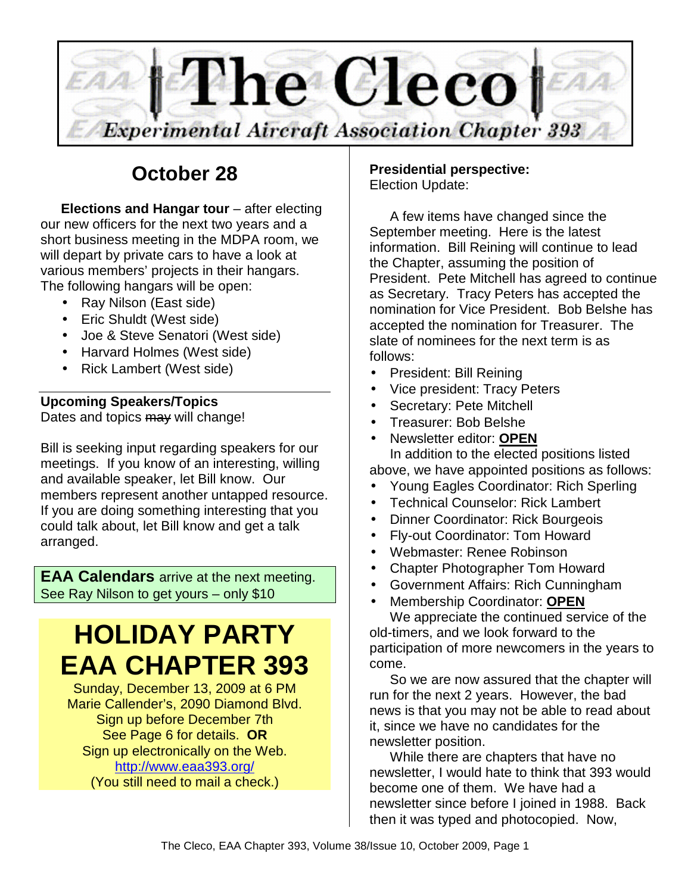

# **October 28**

**Elections and Hangar tour** – after electing our new officers for the next two years and a short business meeting in the MDPA room, we will depart by private cars to have a look at various members' projects in their hangars. The following hangars will be open:

- Ray Nilson (East side)
- Eric Shuldt (West side)
- Joe & Steve Senatori (West side)
- Harvard Holmes (West side)
- Rick Lambert (West side)

## **Upcoming Speakers/Topics**

Dates and topics may will change!

Bill is seeking input regarding speakers for our meetings. If you know of an interesting, willing and available speaker, let Bill know. Our members represent another untapped resource. If you are doing something interesting that you could talk about, let Bill know and get a talk arranged.

**EAA Calendars** arrive at the next meeting. See Ray Nilson to get yours – only \$10

# **HOLIDAY PARTY EAA CHAPTER 393**

Sunday, December 13, 2009 at 6 PM Marie Callender's, 2090 Diamond Blvd. Sign up before December 7th See Page 6 for details. **OR** Sign up electronically on the Web. http://www.eaa393.org/ (You still need to mail a check.)

### **Presidential perspective:** Election Update:

A few items have changed since the September meeting. Here is the latest information. Bill Reining will continue to lead the Chapter, assuming the position of President. Pete Mitchell has agreed to continue as Secretary. Tracy Peters has accepted the nomination for Vice President. Bob Belshe has accepted the nomination for Treasurer. The slate of nominees for the next term is as follows:

- President: Bill Reining
- Vice president: Tracy Peters
- Secretary: Pete Mitchell
- Treasurer: Bob Belshe
- Newsletter editor: **OPEN** In addition to the elected positions listed
- above, we have appointed positions as follows: • Young Eagles Coordinator: Rich Sperling
- Technical Counselor: Rick Lambert
- Dinner Coordinator: Rick Bourgeois
- Fly-out Coordinator: Tom Howard
- Webmaster: Renee Robinson
- Chapter Photographer Tom Howard
- Government Affairs: Rich Cunningham
- Membership Coordinator: **OPEN**

We appreciate the continued service of the old-timers, and we look forward to the participation of more newcomers in the years to come.

So we are now assured that the chapter will run for the next 2 years. However, the bad news is that you may not be able to read about it, since we have no candidates for the newsletter position.

While there are chapters that have no newsletter, I would hate to think that 393 would become one of them. We have had a newsletter since before I joined in 1988. Back then it was typed and photocopied. Now,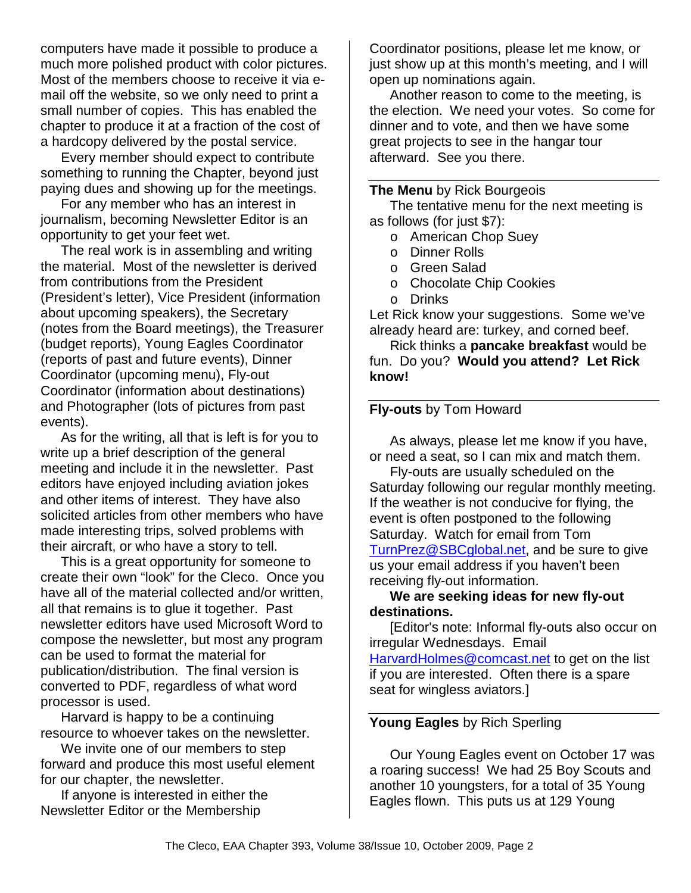computers have made it possible to produce a much more polished product with color pictures. Most of the members choose to receive it via email off the website, so we only need to print a small number of copies. This has enabled the chapter to produce it at a fraction of the cost of a hardcopy delivered by the postal service.

Every member should expect to contribute something to running the Chapter, beyond just paying dues and showing up for the meetings.

For any member who has an interest in journalism, becoming Newsletter Editor is an opportunity to get your feet wet.

The real work is in assembling and writing the material. Most of the newsletter is derived from contributions from the President (President's letter), Vice President (information about upcoming speakers), the Secretary (notes from the Board meetings), the Treasurer (budget reports), Young Eagles Coordinator (reports of past and future events), Dinner Coordinator (upcoming menu), Fly-out Coordinator (information about destinations) and Photographer (lots of pictures from past events).

As for the writing, all that is left is for you to write up a brief description of the general meeting and include it in the newsletter. Past editors have enjoyed including aviation jokes and other items of interest. They have also solicited articles from other members who have made interesting trips, solved problems with their aircraft, or who have a story to tell.

This is a great opportunity for someone to create their own "look" for the Cleco. Once you have all of the material collected and/or written, all that remains is to glue it together. Past newsletter editors have used Microsoft Word to compose the newsletter, but most any program can be used to format the material for publication/distribution. The final version is converted to PDF, regardless of what word processor is used.

Harvard is happy to be a continuing resource to whoever takes on the newsletter.

We invite one of our members to step forward and produce this most useful element for our chapter, the newsletter.

If anyone is interested in either the Newsletter Editor or the Membership

Coordinator positions, please let me know, or just show up at this month's meeting, and I will open up nominations again.

Another reason to come to the meeting, is the election. We need your votes. So come for dinner and to vote, and then we have some great projects to see in the hangar tour afterward. See you there.

#### **The Menu** by Rick Bourgeois

The tentative menu for the next meeting is as follows (for just \$7):

- o American Chop Suey
- o Dinner Rolls
- o Green Salad
- o Chocolate Chip Cookies
- o Drinks

Let Rick know your suggestions. Some we've already heard are: turkey, and corned beef.

Rick thinks a **pancake breakfast** would be fun. Do you? **Would you attend? Let Rick know!** 

## **Fly-outs** by Tom Howard

As always, please let me know if you have, or need a seat, so I can mix and match them.

Fly-outs are usually scheduled on the Saturday following our regular monthly meeting. If the weather is not conducive for flying, the event is often postponed to the following Saturday. Watch for email from Tom TurnPrez@SBCglobal.net, and be sure to give us your email address if you haven't been receiving fly-out information.

#### **We are seeking ideas for new fly-out destinations.**

[Editor's note: Informal fly-outs also occur on irregular Wednesdays. Email HarvardHolmes@comcast.net to get on the list if you are interested. Often there is a spare seat for wingless aviators.]

#### **Young Eagles** by Rich Sperling

Our Young Eagles event on October 17 was a roaring success! We had 25 Boy Scouts and another 10 youngsters, for a total of 35 Young Eagles flown. This puts us at 129 Young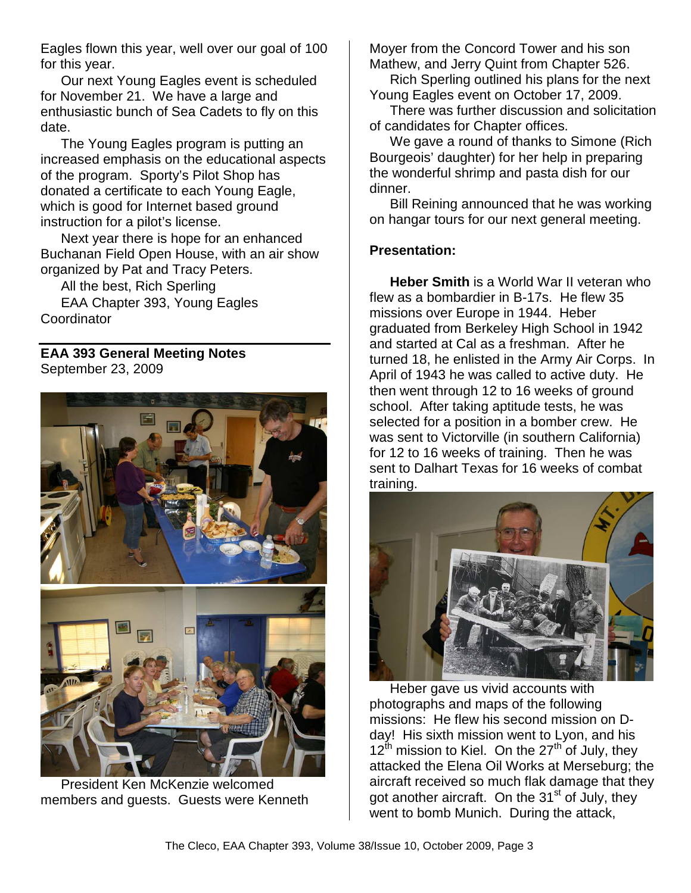Eagles flown this year, well over our goal of 100 for this year.

Our next Young Eagles event is scheduled for November 21. We have a large and enthusiastic bunch of Sea Cadets to fly on this date.

The Young Eagles program is putting an increased emphasis on the educational aspects of the program. Sporty's Pilot Shop has donated a certificate to each Young Eagle, which is good for Internet based ground instruction for a pilot's license.

Next year there is hope for an enhanced Buchanan Field Open House, with an air show organized by Pat and Tracy Peters.

All the best, Rich Sperling

EAA Chapter 393, Young Eagles **Coordinator** 

**EAA 393 General Meeting Notes**  September 23, 2009



President Ken McKenzie welcomed members and guests. Guests were Kenneth

Moyer from the Concord Tower and his son Mathew, and Jerry Quint from Chapter 526.

Rich Sperling outlined his plans for the next Young Eagles event on October 17, 2009.

There was further discussion and solicitation of candidates for Chapter offices.

We gave a round of thanks to Simone (Rich Bourgeois' daughter) for her help in preparing the wonderful shrimp and pasta dish for our dinner.

Bill Reining announced that he was working on hangar tours for our next general meeting.

## **Presentation:**

**Heber Smith** is a World War II veteran who flew as a bombardier in B-17s. He flew 35 missions over Europe in 1944. Heber graduated from Berkeley High School in 1942 and started at Cal as a freshman. After he turned 18, he enlisted in the Army Air Corps. In April of 1943 he was called to active duty. He then went through 12 to 16 weeks of ground school. After taking aptitude tests, he was selected for a position in a bomber crew. He was sent to Victorville (in southern California) for 12 to 16 weeks of training. Then he was sent to Dalhart Texas for 16 weeks of combat training.



Heber gave us vivid accounts with photographs and maps of the following missions: He flew his second mission on Dday! His sixth mission went to Lyon, and his  $12^{th}$  mission to Kiel. On the  $27^{th}$  of July, they attacked the Elena Oil Works at Merseburg; the aircraft received so much flak damage that they got another aircraft. On the 31<sup>st</sup> of July, they went to bomb Munich. During the attack,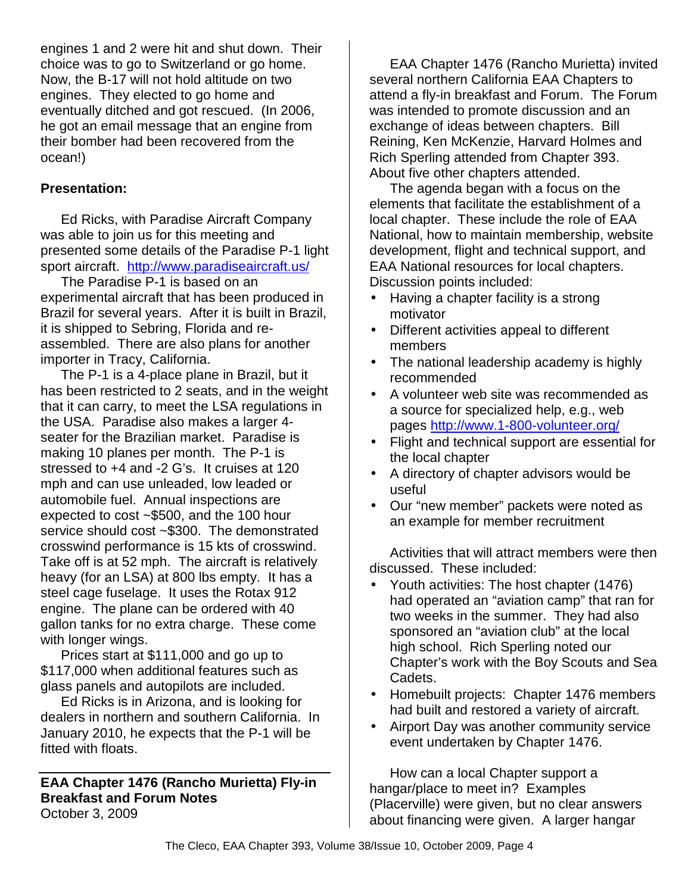engines 1 and 2 were hit and shut down. Their choice was to go to Switzerland or go home. Now, the B-17 will not hold altitude on two engines. They elected to go home and eventually ditched and got rescued. (In 2006, he got an email message that an engine from their bomber had been recovered from the ocean!)

## **Presentation:**

Ed Ricks, with Paradise Aircraft Company was able to join us for this meeting and presented some details of the Paradise P-1 light sport aircraft. http://www.paradiseaircraft.us/

The Paradise P-1 is based on an experimental aircraft that has been produced in Brazil for several years. After it is built in Brazil, it is shipped to Sebring, Florida and reassembled. There are also plans for another importer in Tracy, California.

The P-1 is a 4-place plane in Brazil, but it has been restricted to 2 seats, and in the weight that it can carry, to meet the LSA regulations in the USA. Paradise also makes a larger 4 seater for the Brazilian market. Paradise is making 10 planes per month. The P-1 is stressed to +4 and -2 G's. It cruises at 120 mph and can use unleaded, low leaded or automobile fuel. Annual inspections are expected to cost ~\$500, and the 100 hour service should cost ~\$300. The demonstrated crosswind performance is 15 kts of crosswind. Take off is at 52 mph. The aircraft is relatively heavy (for an LSA) at 800 lbs empty. It has a steel cage fuselage. It uses the Rotax 912 engine. The plane can be ordered with 40 gallon tanks for no extra charge. These come with longer wings.

Prices start at \$111,000 and go up to \$117,000 when additional features such as glass panels and autopilots are included.

Ed Ricks is in Arizona, and is looking for dealers in northern and southern California. In January 2010, he expects that the P-1 will be fitted with floats.

**EAA Chapter 1476 (Rancho Murietta) Fly-in Breakfast and Forum Notes**  October 3, 2009

EAA Chapter 1476 (Rancho Murietta) invited several northern California EAA Chapters to attend a fly-in breakfast and Forum. The Forum was intended to promote discussion and an exchange of ideas between chapters. Bill Reining, Ken McKenzie, Harvard Holmes and Rich Sperling attended from Chapter 393. About five other chapters attended.

The agenda began with a focus on the elements that facilitate the establishment of a local chapter. These include the role of EAA National, how to maintain membership, website development, flight and technical support, and EAA National resources for local chapters. Discussion points included:

- Having a chapter facility is a strong motivator
- Different activities appeal to different members
- The national leadership academy is highly recommended
- A volunteer web site was recommended as a source for specialized help, e.g., web pages http://www.1-800-volunteer.org/
- Flight and technical support are essential for the local chapter
- A directory of chapter advisors would be useful
- Our "new member" packets were noted as an example for member recruitment

Activities that will attract members were then discussed. These included:

- Youth activities: The host chapter (1476) had operated an "aviation camp" that ran for two weeks in the summer. They had also sponsored an "aviation club" at the local high school. Rich Sperling noted our Chapter's work with the Boy Scouts and Sea Cadets.
- Homebuilt projects: Chapter 1476 members had built and restored a variety of aircraft.
- Airport Day was another community service event undertaken by Chapter 1476.

How can a local Chapter support a hangar/place to meet in? Examples (Placerville) were given, but no clear answers about financing were given. A larger hangar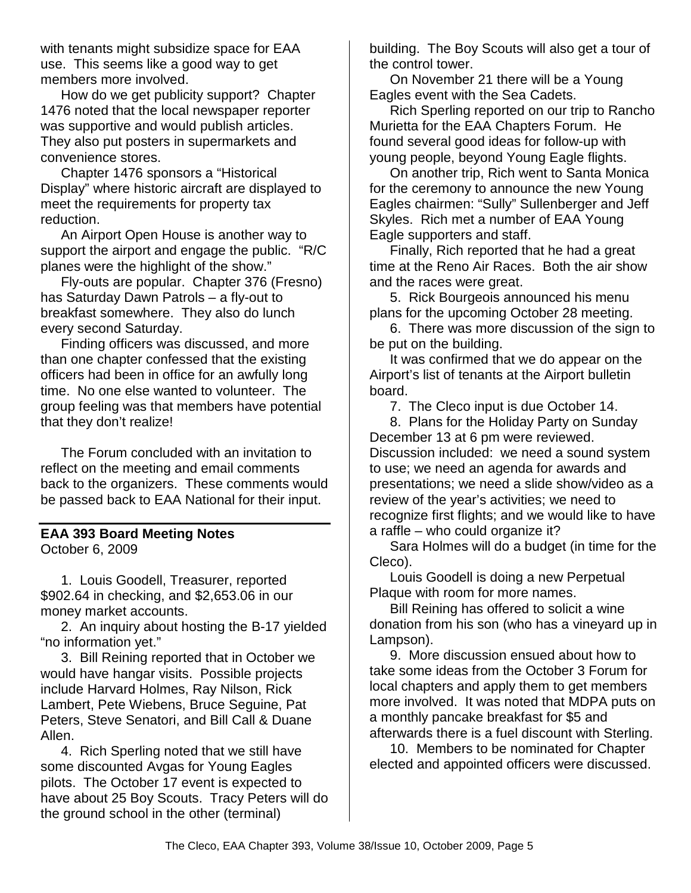with tenants might subsidize space for EAA use. This seems like a good way to get members more involved.

How do we get publicity support? Chapter 1476 noted that the local newspaper reporter was supportive and would publish articles. They also put posters in supermarkets and convenience stores.

Chapter 1476 sponsors a "Historical Display" where historic aircraft are displayed to meet the requirements for property tax reduction.

An Airport Open House is another way to support the airport and engage the public. "R/C planes were the highlight of the show."

Fly-outs are popular. Chapter 376 (Fresno) has Saturday Dawn Patrols – a fly-out to breakfast somewhere. They also do lunch every second Saturday.

Finding officers was discussed, and more than one chapter confessed that the existing officers had been in office for an awfully long time. No one else wanted to volunteer. The group feeling was that members have potential that they don't realize!

The Forum concluded with an invitation to reflect on the meeting and email comments back to the organizers. These comments would be passed back to EAA National for their input.

# **EAA 393 Board Meeting Notes**

October 6, 2009

1. Louis Goodell, Treasurer, reported \$902.64 in checking, and \$2,653.06 in our money market accounts.

2. An inquiry about hosting the B-17 yielded "no information yet."

3. Bill Reining reported that in October we would have hangar visits. Possible projects include Harvard Holmes, Ray Nilson, Rick Lambert, Pete Wiebens, Bruce Seguine, Pat Peters, Steve Senatori, and Bill Call & Duane Allen.

4. Rich Sperling noted that we still have some discounted Avgas for Young Eagles pilots. The October 17 event is expected to have about 25 Boy Scouts. Tracy Peters will do the ground school in the other (terminal)

building. The Boy Scouts will also get a tour of the control tower.

On November 21 there will be a Young Eagles event with the Sea Cadets.

Rich Sperling reported on our trip to Rancho Murietta for the EAA Chapters Forum. He found several good ideas for follow-up with young people, beyond Young Eagle flights.

On another trip, Rich went to Santa Monica for the ceremony to announce the new Young Eagles chairmen: "Sully" Sullenberger and Jeff Skyles. Rich met a number of EAA Young Eagle supporters and staff.

Finally, Rich reported that he had a great time at the Reno Air Races. Both the air show and the races were great.

5. Rick Bourgeois announced his menu plans for the upcoming October 28 meeting.

6. There was more discussion of the sign to be put on the building.

It was confirmed that we do appear on the Airport's list of tenants at the Airport bulletin board.

7. The Cleco input is due October 14.

8. Plans for the Holiday Party on Sunday December 13 at 6 pm were reviewed. Discussion included: we need a sound system to use; we need an agenda for awards and presentations; we need a slide show/video as a review of the year's activities; we need to recognize first flights; and we would like to have a raffle – who could organize it?

Sara Holmes will do a budget (in time for the Cleco).

Louis Goodell is doing a new Perpetual Plaque with room for more names.

Bill Reining has offered to solicit a wine donation from his son (who has a vineyard up in Lampson).

9. More discussion ensued about how to take some ideas from the October 3 Forum for local chapters and apply them to get members more involved. It was noted that MDPA puts on a monthly pancake breakfast for \$5 and afterwards there is a fuel discount with Sterling.

10. Members to be nominated for Chapter elected and appointed officers were discussed.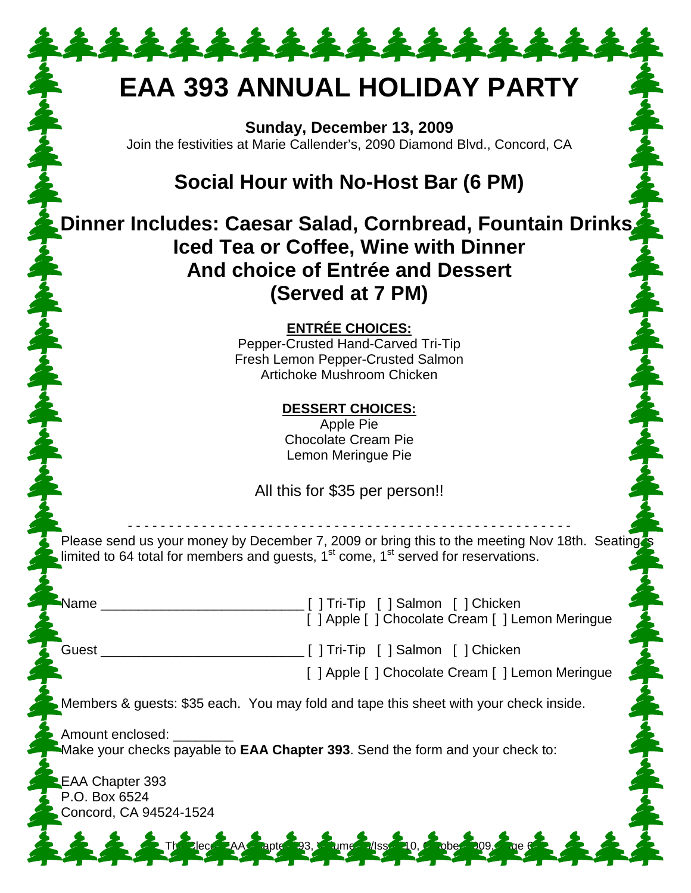# **EAA 393 ANNUAL HOLIDAY PARTY**

\*\*\*\*\*\*\*\*\*\*\*\*\*\*

**Sunday, December 13, 2009**  Join the festivities at Marie Callender's, 2090 Diamond Blvd., Concord, CA

# **Social Hour with No-Host Bar (6 PM)**

**Dinner Includes: Caesar Salad, Cornbread, Fountain Drinks, Iced Tea or Coffee, Wine with Dinner And choice of Entrée and Dessert (Served at 7 PM)** 

**ENTRÉE CHOICES:**

Pepper-Crusted Hand-Carved Tri-Tip Fresh Lemon Pepper-Crusted Salmon Artichoke Mushroom Chicken

> **DESSERT CHOICES:** Apple Pie

Chocolate Cream Pie Lemon Meringue Pie

All this for \$35 per person!!

- - - - - - - - - - - - - - - - - - - - - - - - - - - - - - - - - - - - - - - - - - - - - - - - - - - - - - Please send us your money by December 7, 2009 or bring this to the meeting Nov 18th. Seating limited to 64 total for members and guests,  $1<sup>st</sup>$  come,  $1<sup>st</sup>$  served for reservations.

Name \_\_\_\_\_\_\_\_\_\_\_\_\_\_\_\_\_\_\_\_\_\_\_\_\_\_\_ [ ] Tri-Tip [ ] Salmon [ ] Chicken [ ] Apple [ ] Chocolate Cream [ ] Lemon Meringue

Guest \_\_\_\_\_\_\_\_\_\_\_\_\_\_\_\_\_\_\_\_\_\_\_\_\_\_\_ [ ] Tri-Tip [ ] Salmon [ ] Chicken

[ ] Apple [ ] Chocolate Cream [ ] Lemon Meringue

Members & guests: \$35 each. You may fold and tape this sheet with your check inside.

The Clean Chapter 393, Volume 3/Issue

Amount enclosed: Make your checks payable to **EAA Chapter 393**. Send the form and your check to:

EAA Chapter 393 P.O. Box 6524 Concord, CA 94524-1524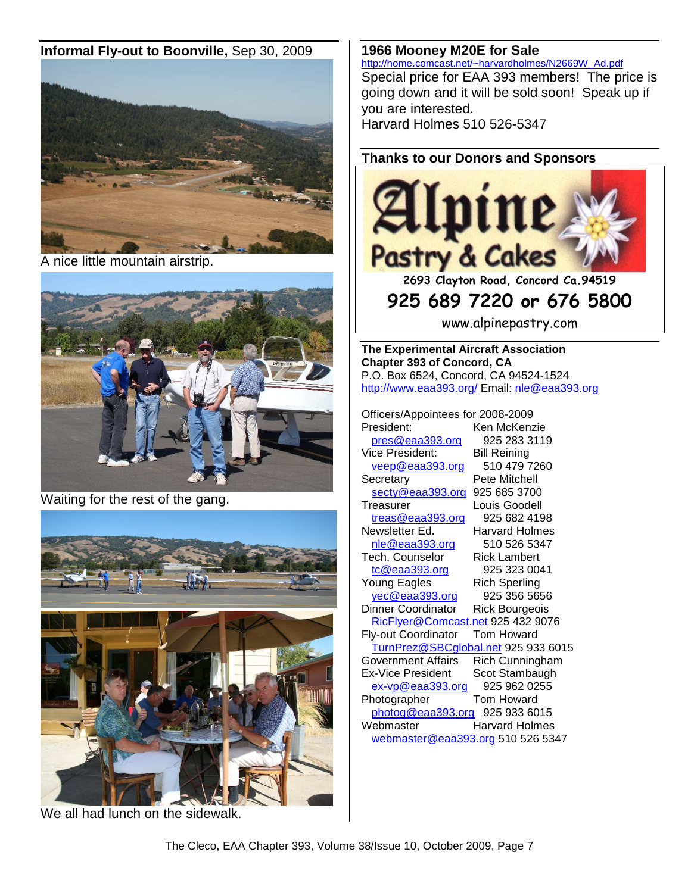#### **Informal Fly-out to Boonville,** Sep 30, 2009



A nice little mountain airstrip.



Waiting for the rest of the gang.





We all had lunch on the sidewalk.

#### **1966 Mooney M20E for Sale**

http://home.comcast.net/~harvardholmes/N2669W\_Ad.pdf Special price for EAA 393 members! The price is going down and it will be sold soon! Speak up if you are interested. Harvard Holmes 510 526-5347

## **Thanks to our Donors and Sponsors**



**2693 Clayton Road, Concord Ca.94519** 

# **925 689 7220 or 676 5800**

www.alpinepastry.com

**The Experimental Aircraft Association Chapter 393 of Concord, CA**  P.O. Box 6524, Concord, CA 94524-1524 http://www.eaa393.org/ Email: nle@eaa393.org

Officers/Appointees for 2008-2009 President: Ken McKenzie

pres@eaa393.org 925 283 3119 Vice President: Bill Reining veep@eaa393.org 510 479 7260 Secretary Pete Mitchell secty@eaa393.org 925 685 3700 Treasurer Louis Goodell  $t$ reas@eaa $393.$ org 925 682 4198 Newsletter Ed. Harvard Holmes nle@eaa393.org 510 526 5347 Tech. Counselor Rick Lambert tc@eaa393.org 925 323 0041 Young Eagles Rich Sperling yec@eaa393.org 925 356 5656 Dinner Coordinator Rick Bourgeois RicFlyer@Comcast.net 925 432 9076 Fly-out Coordinator Tom Howard TurnPrez@SBCglobal.net 925 933 6015 Government Affairs Rich Cunningham Ex-Vice President Scot Stambaugh ex-vp@eaa393.org 925 962 0255 Photographer Tom Howard photog@eaa393.org 925 933 6015 Webmaster Harvard Holmes webmaster@eaa393.org 510 526 5347